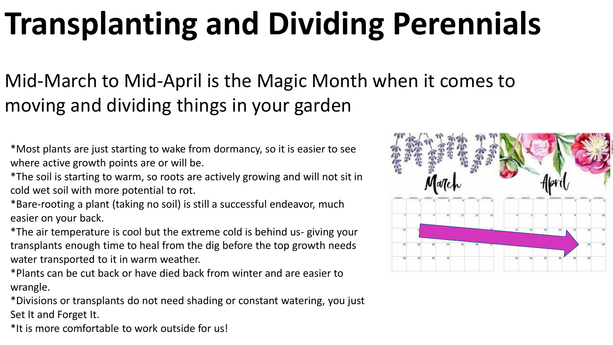## **Transplanting and Dividing Perennials**

## Mid-March to Mid-April is the Magic Month when it comes to moving and dividing things in your garden

\*Most plants are just starting to wake from dormancy, so it is easier to see where active growth points are or will be.

\*The soil is starting to warm, so roots are actively growing and will not sit in cold wet soil with more potential to rot.

\*Bare-rooting a plant (taking no soil) is still a successful endeavor, much easier on your back.

\*The air temperature is cool but the extreme cold is behind us- giving your transplants enough time to heal from the dig before the top growth needs water transported to it in warm weather.

\*Plants can be cut back or have died back from winter and are easier to wrangle.

\*Divisions or transplants do not need shading or constant watering, you just Set It and Forget It.

\*It is more comfortable to work outside for us!

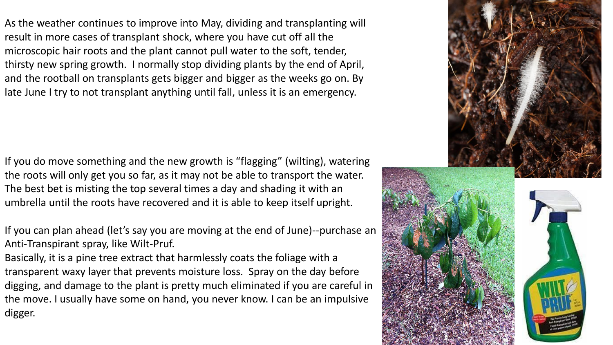As the weather continues to improve into May, dividing and transplanting will result in more cases of transplant shock, where you have cut off all the microscopic hair roots and the plant cannot pull water to the soft, tender, thirsty new spring growth. I normally stop dividing plants by the end of April, and the rootball on transplants gets bigger and bigger as the weeks go on. By late June I try to not transplant anything until fall, unless it is an emergency.

If you do move something and the new growth is "flagging" (wilting), watering the roots will only get you so far, as it may not be able to transport the water. The best bet is misting the top several times a day and shading it with an umbrella until the roots have recovered and it is able to keep itself upright.

If you can plan ahead (let's say you are moving at the end of June)--purchase an Anti-Transpirant spray, like Wilt-Pruf.

Basically, it is a pine tree extract that harmlessly coats the foliage with a transparent waxy layer that prevents moisture loss. Spray on the day before digging, and damage to the plant is pretty much eliminated if you are careful in the move. I usually have some on hand, you never know. I can be an impulsive digger.

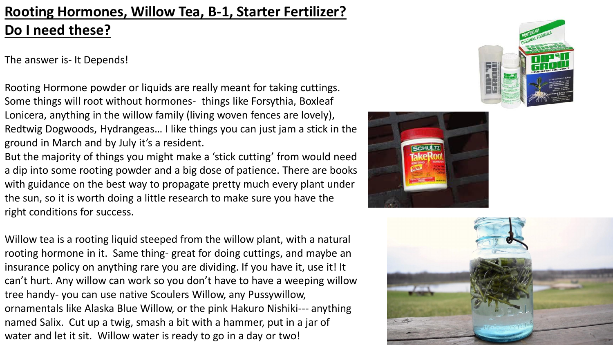## **Rooting Hormones, Willow Tea, B-1, Starter Fertilizer? Do I need these?**

The answer is- It Depends!

Rooting Hormone powder or liquids are really meant for taking cuttings. Some things will root without hormones- things like Forsythia, Boxleaf Lonicera, anything in the willow family (living woven fences are lovely), Redtwig Dogwoods, Hydrangeas… I like things you can just jam a stick in the ground in March and by July it's a resident.

But the majority of things you might make a 'stick cutting' from would need a dip into some rooting powder and a big dose of patience. There are books with guidance on the best way to propagate pretty much every plant under the sun, so it is worth doing a little research to make sure you have the right conditions for success.

Willow tea is a rooting liquid steeped from the willow plant, with a natural rooting hormone in it. Same thing- great for doing cuttings, and maybe an insurance policy on anything rare you are dividing. If you have it, use it! It can't hurt. Any willow can work so you don't have to have a weeping willow tree handy- you can use native Scoulers Willow, any Pussywillow, ornamentals like Alaska Blue Willow, or the pink Hakuro Nishiki--- anything named Salix. Cut up a twig, smash a bit with a hammer, put in a jar of water and let it sit. Willow water is ready to go in a day or two!





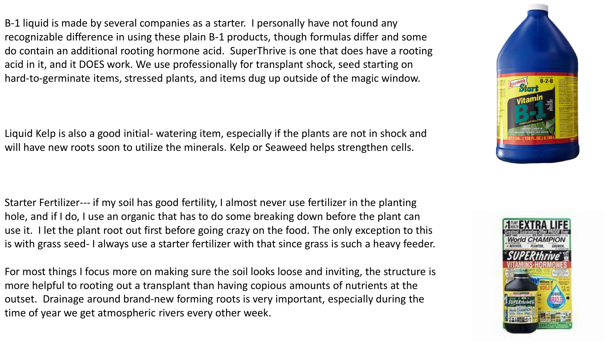B-1 liquid is made by several companies as a starter. I personally have not found any recognizable difference in using these plain B-1 products, though formulas differ and some do contain an additional rooting hormone acid. SuperThrive is one that does have a rooting acid in it, and it DOES work. We use professionally for transplant shock, seed starting on hard-to-germinate items, stressed plants, and items dug up outside of the magic window.

Liquid Kelp is also a good initial- watering item, especially if the plants are not in shock and will have new roots soon to utilize the minerals. Kelp or Seaweed helps strengthen cells.

Starter Fertilizer--- if my soil has good fertility, I almost never use fertilizer in the planting hole, and if I do, I use an organic that has to do some breaking down before the plant can use it. I let the plant root out first before going crazy on the food. The only exception to this is with grass seed- I always use a starter fertilizer with that since grass is such a heavy feeder.

For most things I focus more on making sure the soil looks loose and inviting, the structure is more helpful to rooting out a transplant than having copious amounts of nutrients at the outset. Drainage around brand-new forming roots is very important, especially during the time of year we get atmospheric rivers every other week.



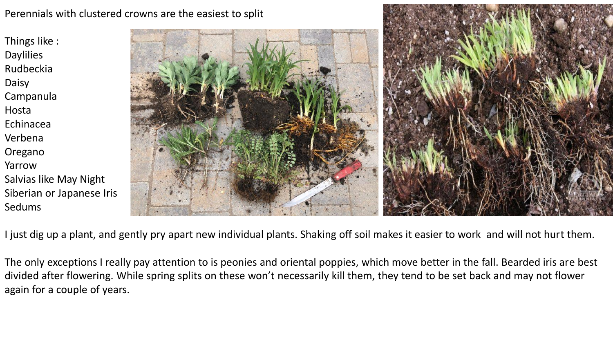Perennials with clustered crowns are the easiest to split

Things like : **Daylilies** Rudbeckia Daisy Campanula Hosta Echinacea Verbena Oregano Yarrow Salvias like May Night Siberian or Japanese Iris Sedums



I just dig up a plant, and gently pry apart new individual plants. Shaking off soil makes it easier to work and will not hurt them.

The only exceptions I really pay attention to is peonies and oriental poppies, which move better in the fall. Bearded iris are best divided after flowering. While spring splits on these won't necessarily kill them, they tend to be set back and may not flower again for a couple of years.